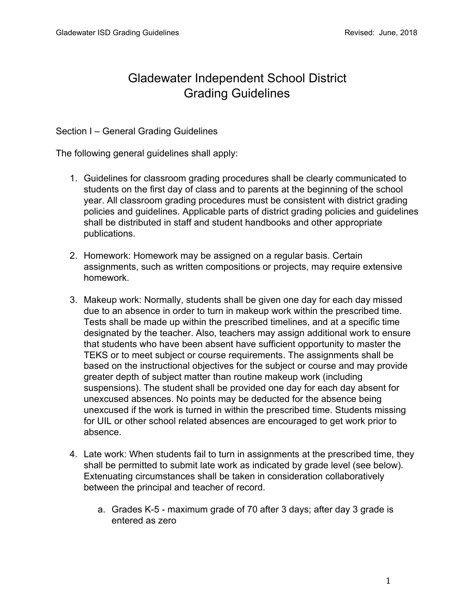# Gladewater Independent School District Grading Guidelines

Section I – General Grading Guidelines

The following general guidelines shall apply:

- 1. Guidelines for classroom grading procedures shall be clearly communicated to students on the first day of class and to parents at the beginning of the school year. All classroom grading procedures must be consistent with district grading policies and guidelines. Applicable parts of district grading policies and guidelines shall be distributed in staff and student handbooks and other appropriate publications.
- 2. Homework: Homework may be assigned on a regular basis. Certain assignments, such as written compositions or projects, may require extensive homework.
- 3. Makeup work: Normally, students shall be given one day for each day missed due to an absence in order to turn in makeup work within the prescribed time. Tests shall be made up within the prescribed timelines, and at a specific time designated by the teacher. Also, teachers may assign additional work to ensure that students who have been absent have sufficient opportunity to master the TEKS or to meet subject or course requirements. The assignments shall be based on the instructional objectives for the subject or course and may provide greater depth of subject matter than routine makeup work (including suspensions). The student shall be provided one day for each day absent for unexcused absences. No points may be deducted for the absence being unexcused if the work is turned in within the prescribed time. Students missing for UIL or other school related absences are encouraged to get work prior to absence.
- 4. Late work: When students fail to turn in assignments at the prescribed time, they shall be permitted to submit late work as indicated by grade level (see below). Extenuating circumstances shall be taken in consideration collaboratively between the principal and teacher of record.
	- a. Grades K-5 maximum grade of 70 after 3 days; after day 3 grade is entered as zero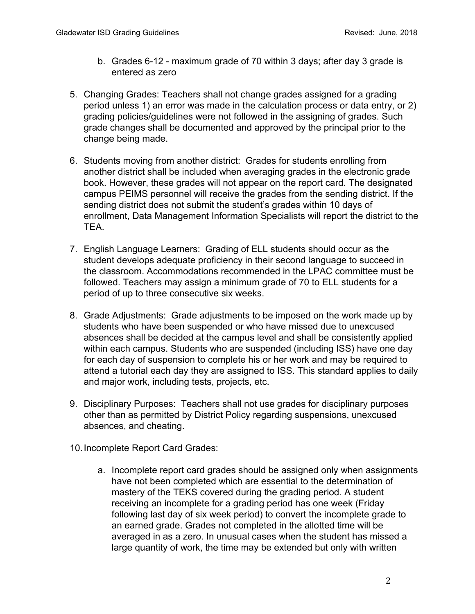- b. Grades 6-12 maximum grade of 70 within 3 days; after day 3 grade is entered as zero
- 5. Changing Grades: Teachers shall not change grades assigned for a grading period unless 1) an error was made in the calculation process or data entry, or 2) grading policies/guidelines were not followed in the assigning of grades. Such grade changes shall be documented and approved by the principal prior to the change being made.
- 6. Students moving from another district: Grades for students enrolling from another district shall be included when averaging grades in the electronic grade book. However, these grades will not appear on the report card. The designated campus PEIMS personnel will receive the grades from the sending district. If the sending district does not submit the student's grades within 10 days of enrollment, Data Management Information Specialists will report the district to the TEA.
- 7. English Language Learners: Grading of ELL students should occur as the student develops adequate proficiency in their second language to succeed in the classroom. Accommodations recommended in the LPAC committee must be followed. Teachers may assign a minimum grade of 70 to ELL students for a period of up to three consecutive six weeks.
- 8. Grade Adjustments: Grade adjustments to be imposed on the work made up by students who have been suspended or who have missed due to unexcused absences shall be decided at the campus level and shall be consistently applied within each campus. Students who are suspended (including ISS) have one day for each day of suspension to complete his or her work and may be required to attend a tutorial each day they are assigned to ISS. This standard applies to daily and major work, including tests, projects, etc.
- 9. Disciplinary Purposes: Teachers shall not use grades for disciplinary purposes other than as permitted by District Policy regarding suspensions, unexcused absences, and cheating.
- 10.Incomplete Report Card Grades:
	- a. Incomplete report card grades should be assigned only when assignments have not been completed which are essential to the determination of mastery of the TEKS covered during the grading period. A student receiving an incomplete for a grading period has one week (Friday following last day of six week period) to convert the incomplete grade to an earned grade. Grades not completed in the allotted time will be averaged in as a zero. In unusual cases when the student has missed a large quantity of work, the time may be extended but only with written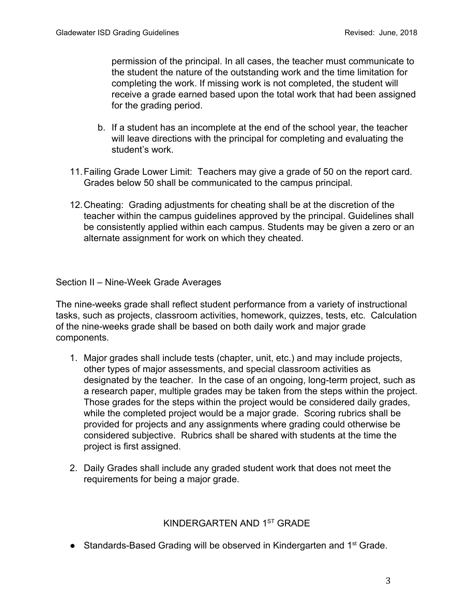permission of the principal. In all cases, the teacher must communicate to the student the nature of the outstanding work and the time limitation for completing the work. If missing work is not completed, the student will receive a grade earned based upon the total work that had been assigned for the grading period.

- b. If a student has an incomplete at the end of the school year, the teacher will leave directions with the principal for completing and evaluating the student's work.
- 11.Failing Grade Lower Limit: Teachers may give a grade of 50 on the report card. Grades below 50 shall be communicated to the campus principal.
- 12.Cheating: Grading adjustments for cheating shall be at the discretion of the teacher within the campus guidelines approved by the principal. Guidelines shall be consistently applied within each campus. Students may be given a zero or an alternate assignment for work on which they cheated.

Section II – Nine-Week Grade Averages

The nine-weeks grade shall reflect student performance from a variety of instructional tasks, such as projects, classroom activities, homework, quizzes, tests, etc. Calculation of the nine-weeks grade shall be based on both daily work and major grade components.

- 1. Major grades shall include tests (chapter, unit, etc.) and may include projects, other types of major assessments, and special classroom activities as designated by the teacher. In the case of an ongoing, long-term project, such as a research paper, multiple grades may be taken from the steps within the project. Those grades for the steps within the project would be considered daily grades, while the completed project would be a major grade. Scoring rubrics shall be provided for projects and any assignments where grading could otherwise be considered subjective. Rubrics shall be shared with students at the time the project is first assigned.
- 2. Daily Grades shall include any graded student work that does not meet the requirements for being a major grade.

# KINDERGARTEN AND 1<sup>st</sup> GRADE

• Standards-Based Grading will be observed in Kindergarten and 1<sup>st</sup> Grade.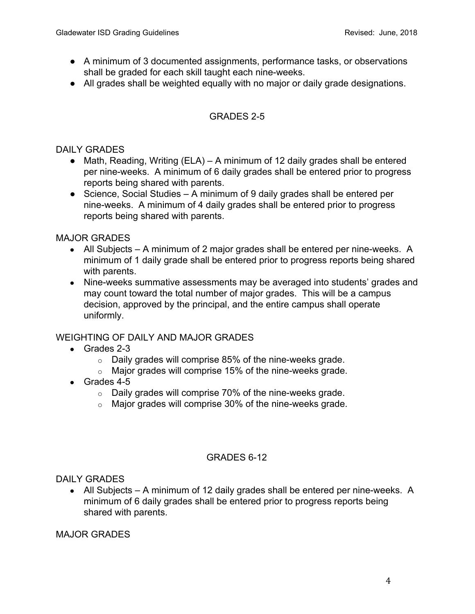- A minimum of 3 documented assignments, performance tasks, or observations shall be graded for each skill taught each nine-weeks.
- All grades shall be weighted equally with no major or daily grade designations.

# GRADES 2-5

#### DAILY GRADES

- $\bullet$  Math, Reading, Writing (ELA) A minimum of 12 daily grades shall be entered per nine-weeks. A minimum of 6 daily grades shall be entered prior to progress reports being shared with parents.
- Science, Social Studies A minimum of 9 daily grades shall be entered per nine-weeks. A minimum of 4 daily grades shall be entered prior to progress reports being shared with parents.

## MAJOR GRADES

- All Subjects A minimum of 2 major grades shall be entered per nine-weeks. A minimum of 1 daily grade shall be entered prior to progress reports being shared with parents.
- Nine-weeks summative assessments may be averaged into students' grades and may count toward the total number of major grades. This will be a campus decision, approved by the principal, and the entire campus shall operate uniformly.

# WEIGHTING OF DAILY AND MAJOR GRADES

- $\bullet$  Grades 2-3
	- $\circ$  Daily grades will comprise 85% of the nine-weeks grade.
	- $\circ$  Major grades will comprise 15% of the nine-weeks grade.
- Grades 4-5
	- o Daily grades will comprise 70% of the nine-weeks grade.
	- o Major grades will comprise 30% of the nine-weeks grade.

#### GRADES 6-12

DAILY GRADES

• All Subjects – A minimum of 12 daily grades shall be entered per nine-weeks. A minimum of 6 daily grades shall be entered prior to progress reports being shared with parents.

MAJOR GRADES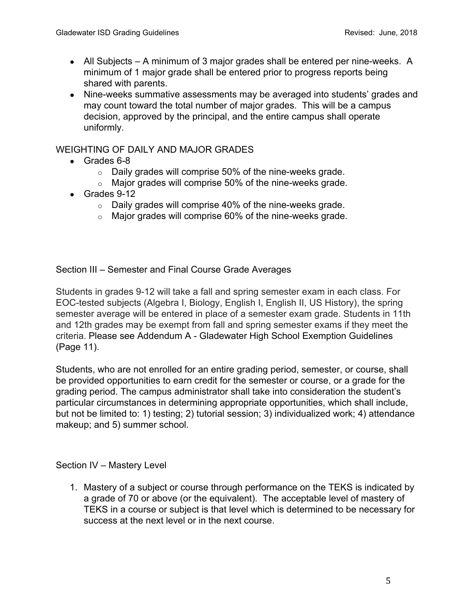- All Subjects A minimum of 3 major grades shall be entered per nine-weeks. A minimum of 1 major grade shall be entered prior to progress reports being shared with parents.
- Nine-weeks summative assessments may be averaged into students' grades and may count toward the total number of major grades. This will be a campus decision, approved by the principal, and the entire campus shall operate uniformly.

# WEIGHTING OF DAILY AND MAJOR GRADES

- Grades 6-8
	- $\circ$  Daily grades will comprise 50% of the nine-weeks grade.
	- $\circ$  Major grades will comprise 50% of the nine-weeks grade.
- Grades 9-12
	- $\circ$  Daily grades will comprise 40% of the nine-weeks grade.
	- o Major grades will comprise 60% of the nine-weeks grade.

Section III – Semester and Final Course Grade Averages

Students in grades 9-12 will take a fall and spring semester exam in each class. For EOC-tested subjects (Algebra I, Biology, English I, English II, US History), the spring semester average will be entered in place of a semester exam grade. Students in 11th and 12th grades may be exempt from fall and spring semester exams if they meet the criteria. Please see Addendum A - Gladewater High School Exemption Guidelines (Page 11).

Students, who are not enrolled for an entire grading period, semester, or course, shall be provided opportunities to earn credit for the semester or course, or a grade for the grading period. The campus administrator shall take into consideration the student's particular circumstances in determining appropriate opportunities, which shall include, but not be limited to: 1) testing; 2) tutorial session; 3) individualized work; 4) attendance makeup; and 5) summer school.

#### Section IV – Mastery Level

1. Mastery of a subject or course through performance on the TEKS is indicated by a grade of 70 or above (or the equivalent). The acceptable level of mastery of TEKS in a course or subject is that level which is determined to be necessary for success at the next level or in the next course.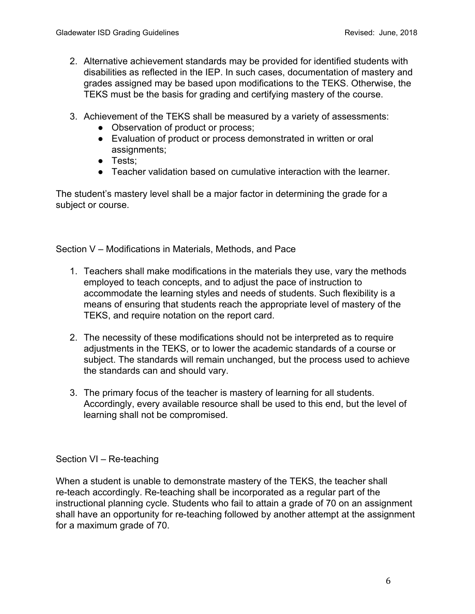- 2. Alternative achievement standards may be provided for identified students with disabilities as reflected in the IEP. In such cases, documentation of mastery and grades assigned may be based upon modifications to the TEKS. Otherwise, the TEKS must be the basis for grading and certifying mastery of the course.
- 3. Achievement of the TEKS shall be measured by a variety of assessments:
	- Observation of product or process;
	- Evaluation of product or process demonstrated in written or oral assignments;
	- Tests;
	- Teacher validation based on cumulative interaction with the learner.

The student's mastery level shall be a major factor in determining the grade for a subject or course.

Section V – Modifications in Materials, Methods, and Pace

- 1. Teachers shall make modifications in the materials they use, vary the methods employed to teach concepts, and to adjust the pace of instruction to accommodate the learning styles and needs of students. Such flexibility is a means of ensuring that students reach the appropriate level of mastery of the TEKS, and require notation on the report card.
- 2. The necessity of these modifications should not be interpreted as to require adjustments in the TEKS, or to lower the academic standards of a course or subject. The standards will remain unchanged, but the process used to achieve the standards can and should vary.
- 3. The primary focus of the teacher is mastery of learning for all students. Accordingly, every available resource shall be used to this end, but the level of learning shall not be compromised.

Section VI – Re-teaching

When a student is unable to demonstrate mastery of the TEKS, the teacher shall re-teach accordingly. Re-teaching shall be incorporated as a regular part of the instructional planning cycle. Students who fail to attain a grade of 70 on an assignment shall have an opportunity for re-teaching followed by another attempt at the assignment for a maximum grade of 70.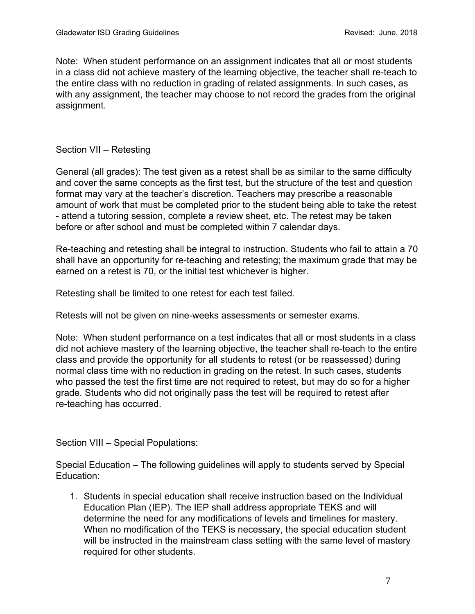Note: When student performance on an assignment indicates that all or most students in a class did not achieve mastery of the learning objective, the teacher shall re-teach to the entire class with no reduction in grading of related assignments. In such cases, as with any assignment, the teacher may choose to not record the grades from the original assignment.

# Section VII – Retesting

General (all grades): The test given as a retest shall be as similar to the same difficulty and cover the same concepts as the first test, but the structure of the test and question format may vary at the teacher's discretion. Teachers may prescribe a reasonable amount of work that must be completed prior to the student being able to take the retest - attend a tutoring session, complete a review sheet, etc. The retest may be taken before or after school and must be completed within 7 calendar days.

Re-teaching and retesting shall be integral to instruction. Students who fail to attain a 70 shall have an opportunity for re-teaching and retesting; the maximum grade that may be earned on a retest is 70, or the initial test whichever is higher.

Retesting shall be limited to one retest for each test failed.

Retests will not be given on nine-weeks assessments or semester exams.

Note: When student performance on a test indicates that all or most students in a class did not achieve mastery of the learning objective, the teacher shall re-teach to the entire class and provide the opportunity for all students to retest (or be reassessed) during normal class time with no reduction in grading on the retest. In such cases, students who passed the test the first time are not required to retest, but may do so for a higher grade. Students who did not originally pass the test will be required to retest after re-teaching has occurred.

Section VIII – Special Populations:

Special Education – The following guidelines will apply to students served by Special Education:

1. Students in special education shall receive instruction based on the Individual Education Plan (IEP). The IEP shall address appropriate TEKS and will determine the need for any modifications of levels and timelines for mastery. When no modification of the TEKS is necessary, the special education student will be instructed in the mainstream class setting with the same level of mastery required for other students.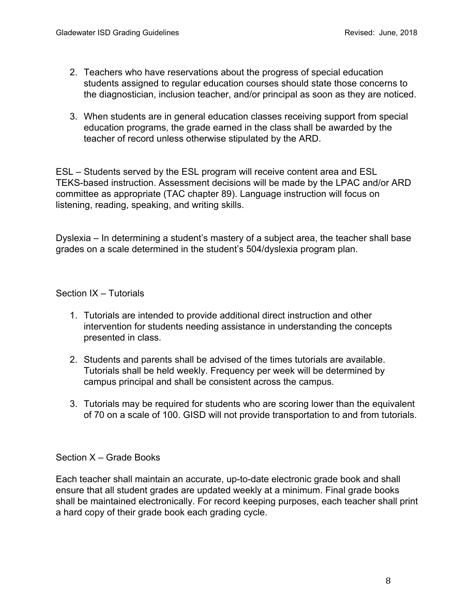- 2. Teachers who have reservations about the progress of special education students assigned to regular education courses should state those concerns to the diagnostician, inclusion teacher, and/or principal as soon as they are noticed.
- 3. When students are in general education classes receiving support from special education programs, the grade earned in the class shall be awarded by the teacher of record unless otherwise stipulated by the ARD.

ESL – Students served by the ESL program will receive content area and ESL TEKS-based instruction. Assessment decisions will be made by the LPAC and/or ARD committee as appropriate (TAC chapter 89). Language instruction will focus on listening, reading, speaking, and writing skills.

Dyslexia – In determining a student's mastery of a subject area, the teacher shall base grades on a scale determined in the student's 504/dyslexia program plan.

## Section IX – Tutorials

- 1. Tutorials are intended to provide additional direct instruction and other intervention for students needing assistance in understanding the concepts presented in class.
- 2. Students and parents shall be advised of the times tutorials are available. Tutorials shall be held weekly. Frequency per week will be determined by campus principal and shall be consistent across the campus.
- 3. Tutorials may be required for students who are scoring lower than the equivalent of 70 on a scale of 100. GISD will not provide transportation to and from tutorials.

#### Section X – Grade Books

Each teacher shall maintain an accurate, up-to-date electronic grade book and shall ensure that all student grades are updated weekly at a minimum. Final grade books shall be maintained electronically. For record keeping purposes, each teacher shall print a hard copy of their grade book each grading cycle.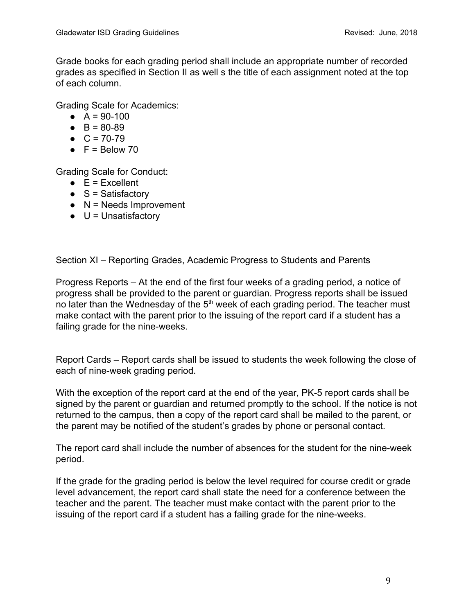Grade books for each grading period shall include an appropriate number of recorded grades as specified in Section II as well s the title of each assignment noted at the top of each column.

Grading Scale for Academics:

- $\bullet$  A = 90-100
- $\bullet$  B = 80-89
- $\bullet$  C = 70-79
- $\bullet$  F = Below 70

Grading Scale for Conduct:

- $\bullet$  E = Excellent
- $\bullet$  S = Satisfactory
- $\bullet$  N = Needs Improvement
- $\bullet$  U = Unsatisfactory

Section XI – Reporting Grades, Academic Progress to Students and Parents

Progress Reports – At the end of the first four weeks of a grading period, a notice of progress shall be provided to the parent or guardian. Progress reports shall be issued no later than the Wednesday of the  $5<sup>th</sup>$  week of each grading period. The teacher must make contact with the parent prior to the issuing of the report card if a student has a failing grade for the nine-weeks.

Report Cards – Report cards shall be issued to students the week following the close of each of nine-week grading period.

With the exception of the report card at the end of the year, PK-5 report cards shall be signed by the parent or guardian and returned promptly to the school. If the notice is not returned to the campus, then a copy of the report card shall be mailed to the parent, or the parent may be notified of the student's grades by phone or personal contact.

The report card shall include the number of absences for the student for the nine-week period.

If the grade for the grading period is below the level required for course credit or grade level advancement, the report card shall state the need for a conference between the teacher and the parent. The teacher must make contact with the parent prior to the issuing of the report card if a student has a failing grade for the nine-weeks.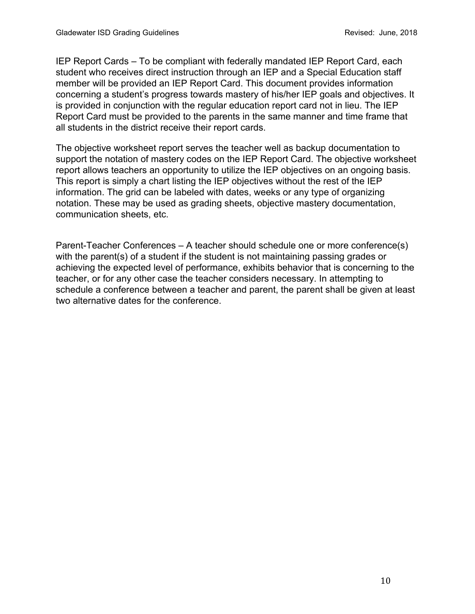IEP Report Cards – To be compliant with federally mandated IEP Report Card, each student who receives direct instruction through an IEP and a Special Education staff member will be provided an IEP Report Card. This document provides information concerning a student's progress towards mastery of his/her IEP goals and objectives. It is provided in conjunction with the regular education report card not in lieu. The IEP Report Card must be provided to the parents in the same manner and time frame that all students in the district receive their report cards.

The objective worksheet report serves the teacher well as backup documentation to support the notation of mastery codes on the IEP Report Card. The objective worksheet report allows teachers an opportunity to utilize the IEP objectives on an ongoing basis. This report is simply a chart listing the IEP objectives without the rest of the IEP information. The grid can be labeled with dates, weeks or any type of organizing notation. These may be used as grading sheets, objective mastery documentation, communication sheets, etc.

Parent-Teacher Conferences – A teacher should schedule one or more conference(s) with the parent(s) of a student if the student is not maintaining passing grades or achieving the expected level of performance, exhibits behavior that is concerning to the teacher, or for any other case the teacher considers necessary. In attempting to schedule a conference between a teacher and parent, the parent shall be given at least two alternative dates for the conference.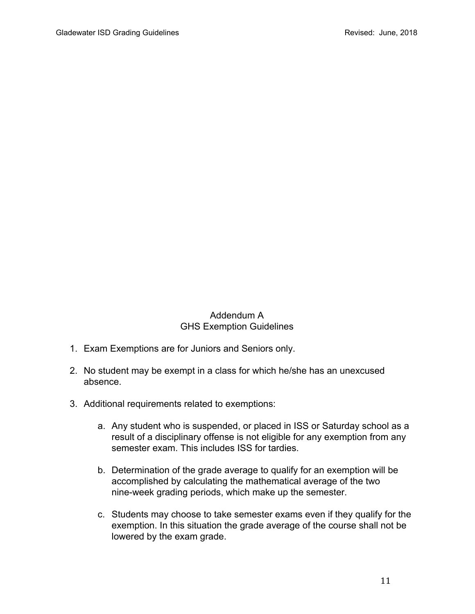# Addendum A GHS Exemption Guidelines

- 1. Exam Exemptions are for Juniors and Seniors only.
- 2. No student may be exempt in a class for which he/she has an unexcused absence.
- 3. Additional requirements related to exemptions:
	- a. Any student who is suspended, or placed in ISS or Saturday school as a result of a disciplinary offense is not eligible for any exemption from any semester exam. This includes ISS for tardies.
	- b. Determination of the grade average to qualify for an exemption will be accomplished by calculating the mathematical average of the two nine-week grading periods, which make up the semester.
	- c. Students may choose to take semester exams even if they qualify for the exemption. In this situation the grade average of the course shall not be lowered by the exam grade.